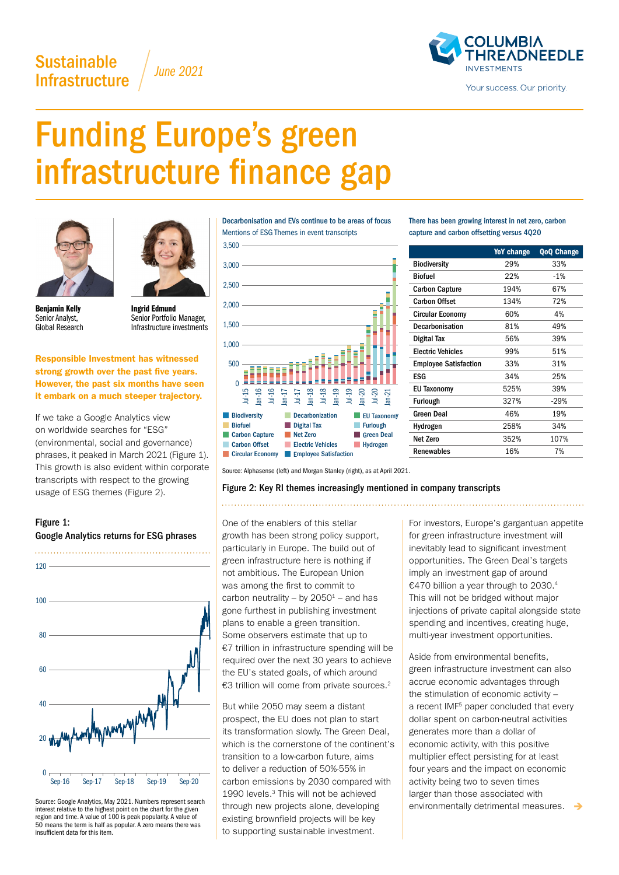## **Sustainable** Infrastructure *June 2021*



# **Funding Europe's green** infrastructure finance gap  $S<sub>1</sub>$  Bergerade Sep-19 Sep-





Benjamin Kelly Senior Analyst, Global Research

Ingrid Edmund Senior Portfolio Manager, Infrastructure investments

Responsible Investment has witnessed strong growth over the past five years. However, the past six months have seen it embark on a much steeper trajectory.

If we take a Google Analytics view on worldwide searches for "ESG" (environmental, social and governance) phrases, it peaked in March 2021 (Figure 1). This growth is also evident within corporate transcripts with respect to the growing usage of ESG themes (Figure 2).



Figure 1: Google Analytics returns for ESG phrases

Source: Google Analytics, May 2021. Numbers represent search interest relative to the highest point on the chart for the given region and time. A value of 100 is peak popularity. A value of 50 means the term is half as popular. A zero means there was insufficient data for this item.

Decarbonisation and EVs continue to be areas of focus Mentions of ESG Themes in event transcripts



There has been growing interest in net zero, carbon capture and carbon offsetting versus 4Q20

|                              | YoY change | <b>QoQ Change</b> |
|------------------------------|------------|-------------------|
| <b>Biodiversity</b>          | 29%        | 33%               |
| <b>Biofuel</b>               | 22%        | $-1%$             |
| <b>Carbon Capture</b>        | 194%       | 67%               |
| <b>Carbon Offset</b>         | 134%       | 72%               |
| <b>Circular Economy</b>      | 60%        | 4%                |
| Decarbonisation              | 81%        | 49%               |
| Digital Tax                  | 56%        | 39%               |
| <b>Electric Vehicles</b>     | 99%        | 51%               |
| <b>Employee Satisfaction</b> | 33%        | 31%               |
| <b>ESG</b>                   | 34%        | 25%               |
| <b>EU Taxonomy</b>           | 525%       | 39%               |
| Furlough                     | 327%       | $-29%$            |
| <b>Green Deal</b>            | 46%        | 19%               |
| Hydrogen                     | 258%       | 34%               |
| Net Zero                     | 352%       | 107%              |
| <b>Renewables</b>            | 16%        | 7%                |

Source: Alphasense (left) and Morgan Stanley (right), as at April 2021.

Figure 2: Key RI themes increasingly mentioned in company transcripts

#### One of the enablers of this stellar growth has been strong policy support, 60 particularly in Europe. The build out of green infrastructure here is nothing if not ambitious. The European Union was among the first to commit to 40 carbon neutrality – by  $2050^1$  – and has gone furthest in publishing investment plans to enable a green transition. Some observers estimate that up to €7 trillion in infrastructure spending will be required over the next 30 years to achieve the EU's stated goals, of which around €3 trillion will come from private sources.<sup>2</sup> ca<br>go<br>pla

But while 2050 may seem a distant prospect, the EU does not plan to start its transformation slowly. The Green Deal, which is the cornerstone of the continent's transition to a low-carbon future, aims to deliver a reduction of 50%-55% in carbon emissions by 2030 compared with 1990 levels.3 This will not be achieved through new projects alone, developing existing brownfield projects will be key to supporting sustainable investment.

For investors, Europe's gargantuan appetite for green infrastructure investment will inevitably lead to significant investment opportunities. The Green Deal's targets imply an investment gap of around €470 billion a year through to 2030.4 This will not be bridged without major injections of private capital alongside state spending and incentives, creating huge, multi-year investment opportunities.

Aside from environmental benefits, green infrastructure investment can also accrue economic advantages through the stimulation of economic activity – a recent IMF<sup>5</sup> paper concluded that every dollar spent on carbon-neutral activities generates more than a dollar of economic activity, with this positive multiplier effect persisting for at least four years and the impact on economic activity being two to seven times larger than those associated with environmentally detrimental measures.  $\rightarrow$  $B = \begin{bmatrix} 0 & 0 & 0 \\ 0 & 0 & 0 \\ 0 & 0 & 0 \end{bmatrix}$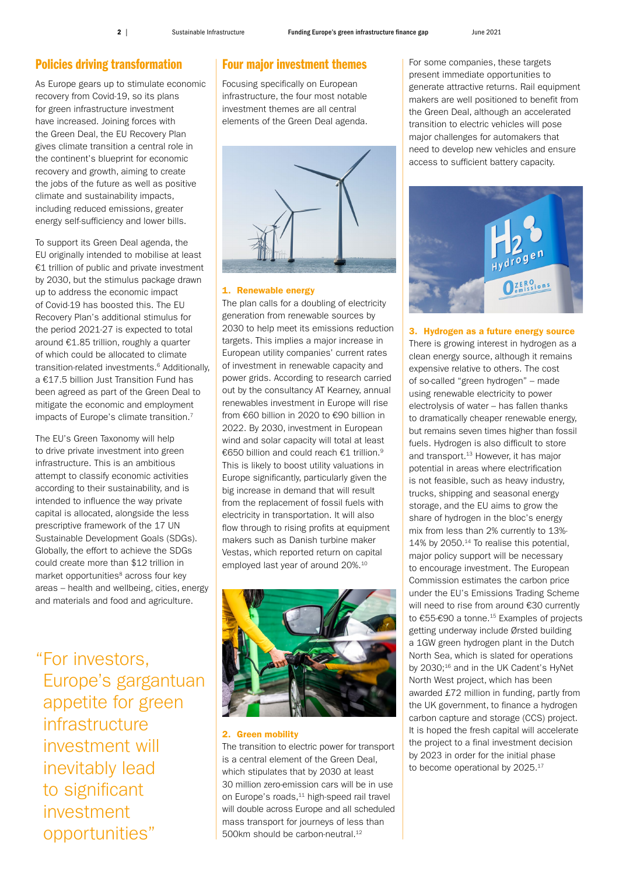## Policies driving transformation

As Europe gears up to stimulate economic recovery from Covid-19, so its plans for green infrastructure investment have increased. Joining forces with the Green Deal, the EU Recovery Plan gives climate transition a central role in the continent's blueprint for economic recovery and growth, aiming to create the jobs of the future as well as positive climate and sustainability impacts, including reduced emissions, greater energy self-sufficiency and lower bills.

To support its Green Deal agenda, the EU originally intended to mobilise at least €1 trillion of public and private investment by 2030, but the stimulus package drawn up to address the economic impact of Covid-19 has boosted this. The EU Recovery Plan's additional stimulus for the period 2021-27 is expected to total around €1.85 trillion, roughly a quarter of which could be allocated to climate transition-related investments.<sup>6</sup> Additionally, a €17.5 billion Just Transition Fund has been agreed as part of the Green Deal to mitigate the economic and employment impacts of Europe's climate transition.7

The EU's Green Taxonomy will help to drive private investment into green infrastructure. This is an ambitious attempt to classify economic activities according to their sustainability, and is intended to influence the way private capital is allocated, alongside the less prescriptive framework of the 17 UN Sustainable Development Goals (SDGs). Globally, the effort to achieve the SDGs could create more than \$12 trillion in market opportunities<sup>8</sup> across four key areas – health and wellbeing, cities, energy and materials and food and agriculture.

"For investors, Europe's gargantuan appetite for green infrastructure investment will inevitably lead to significant investment opportunities"

### Four major investment themes

Focusing specifically on European infrastructure, the four most notable investment themes are all central elements of the Green Deal agenda.



#### 1. Renewable energy

The plan calls for a doubling of electricity generation from renewable sources by 2030 to help meet its emissions reduction targets. This implies a major increase in European utility companies' current rates of investment in renewable capacity and power grids. According to research carried out by the consultancy AT Kearney, annual renewables investment in Europe will rise from €60 billion in 2020 to €90 billion in 2022. By 2030, investment in European wind and solar capacity will total at least €650 billion and could reach €1 trillion.9 This is likely to boost utility valuations in Europe significantly, particularly given the big increase in demand that will result from the replacement of fossil fuels with electricity in transportation. It will also flow through to rising profits at equipment makers such as Danish turbine maker Vestas, which reported return on capital employed last year of around 20%.10



#### 2. Green mobility

The transition to electric power for transport is a central element of the Green Deal, which stipulates that by 2030 at least 30 million zero-emission cars will be in use on Europe's roads,<sup>11</sup> high-speed rail travel will double across Europe and all scheduled mass transport for journeys of less than 500km should be carbon-neutral.<sup>12</sup>

For some companies, these targets present immediate opportunities to generate attractive returns. Rail equipment makers are well positioned to benefit from the Green Deal, although an accelerated transition to electric vehicles will pose major challenges for automakers that need to develop new vehicles and ensure access to sufficient battery capacity.



3. Hydrogen as a future energy source There is growing interest in hydrogen as a clean energy source, although it remains expensive relative to others. The cost of so-called "green hydrogen" – made using renewable electricity to power electrolysis of water – has fallen thanks to dramatically cheaper renewable energy, but remains seven times higher than fossil fuels. Hydrogen is also difficult to store and transport.13 However, it has major potential in areas where electrification is not feasible, such as heavy industry, trucks, shipping and seasonal energy storage, and the EU aims to grow the share of hydrogen in the bloc's energy mix from less than 2% currently to 13%- 14% by 2050.14 To realise this potential, major policy support will be necessary to encourage investment. The European Commission estimates the carbon price under the EU's Emissions Trading Scheme will need to rise from around €30 currently to €55-€90 a tonne.15 Examples of projects getting underway include Ørsted building a 1GW green hydrogen plant in the Dutch North Sea, which is slated for operations by 2030;16 and in the UK Cadent's HyNet North West project, which has been awarded £72 million in funding, partly from the UK government, to finance a hydrogen carbon capture and storage (CCS) project. It is hoped the fresh capital will accelerate the project to a final investment decision by 2023 in order for the initial phase to become operational by 2025.<sup>17</sup>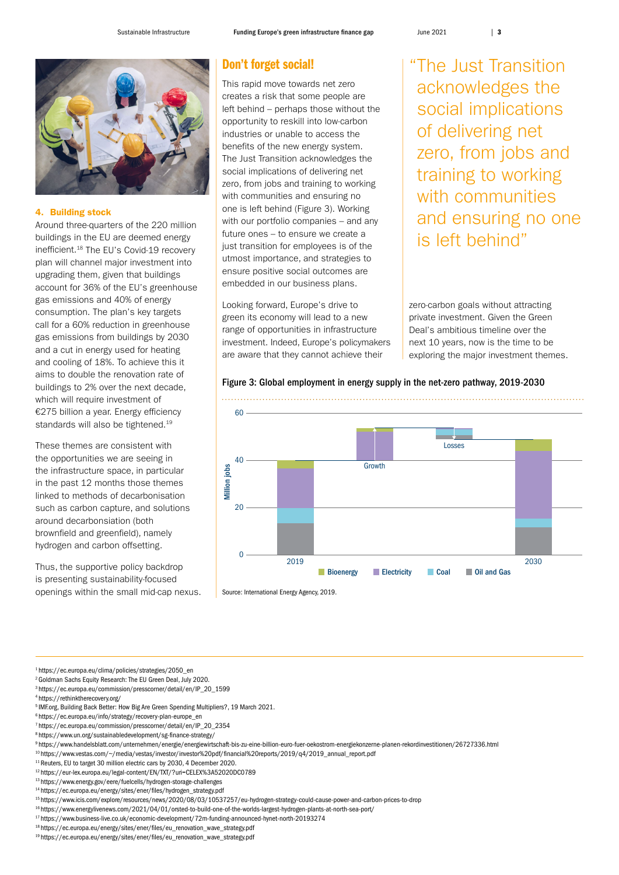

#### 4. Building stock

Around three-quarters of the 220 million buildings in the EU are deemed energy inefficient.18 The EU's Covid-19 recovery plan will channel major investment into upgrading them, given that buildings account for 36% of the EU's greenhouse gas emissions and 40% of energy consumption. The plan's key targets call for a 60% reduction in greenhouse gas emissions from buildings by 2030 and a cut in energy used for heating and cooling of 18%. To achieve this it aims to double the renovation rate of buildings to 2% over the next decade, which will require investment of €275 billion a year. Energy efficiency standards will also be tightened.<sup>19</sup>

These themes are consistent with the opportunities we are seeing in the infrastructure space, in particular in the past 12 months those themes linked to methods of decarbonisation such as carbon capture, and solutions around decarbonsiation (both brownfield and greenfield), namely hydrogen and carbon offsetting.

Thus, the supportive policy backdrop is presenting sustainability-focused openings within the small mid-cap nexus.

### Don't forget social!

This rapid move towards net zero creates a risk that some people are left behind – perhaps those without the opportunity to reskill into low-carbon industries or unable to access the benefits of the new energy system. The Just Transition acknowledges the social implications of delivering net zero, from jobs and training to working with communities and ensuring no one is left behind (Figure 3). Working with our portfolio companies  $-$  and any future ones – to ensure we create a just transition for employees is of the utmost importance, and strategies to ensure positive social outcomes are embedded in our business plans.

Looking forward, Europe's drive to green its economy will lead to a new range of opportunities in infrastructure investment. Indeed, Europe's policymakers are aware that they cannot achieve their OKING TOLM Digital Tax net zur O

"The Just Transition acknowledges the social implications of delivering net zero, from jobs and training to working with communities and ensuring no one is left behind"

zero-carbon goals without attracting private investment. Given the Green Deal's ambitious timeline over the next 10 years, now is the time to be exploring the major investment themes.

#### Figure 3: Global employment in energy supply in the net-zero pathway, 2019-2030



Source: International Energy Agency, 2019.

<sup>1</sup> [https://ec.europa.eu/clima/policies/strategies/2050\\_en](https://ec.europa.eu/clima/policies/strategies/2050_en)

<sup>2</sup> Goldman Sachs Equity Research: The EU Green Deal, July 2020. 3 [https://ec.europa.eu/commission/presscorner/detail/en/IP\\_20\\_1599](https://ec.europa.eu/commission/presscorner/detail/en/IP_20_1599)

<sup>4</sup><https://rethinktherecovery.org/>

<sup>5</sup> IMF.org, Building Back Better: How Big Are Green Spending Multipliers?, 19 March 2021.

<sup>6</sup> [https://ec.europa.eu/info/strategy/recovery-plan-europe\\_en](https://ec.europa.eu/info/strategy/recovery-plan-europe_en)

<sup>7</sup> [https://ec.europa.eu/commission/presscorner/detail/en/IP\\_20\\_2354](https://ec.europa.eu/commission/presscorner/detail/en/IP_20_2354)

<sup>8</sup><https://www.un.org/sustainabledevelopment/sg-finance-strategy/>

<sup>9</sup><https://www.handelsblatt.com/unternehmen/energie/energiewirtschaft-bis-zu-eine-billion-euro-fuer-oekostrom-energiekonzerne-planen-rekordinvestitionen/26727336.html>

<sup>10</sup> [https://www.vestas.com/~/media/vestas/investor/investor%20pdf/financial%20reports/2019/q4/2019\\_annual\\_report.pdf](https://www.vestas.com/~/media/vestas/investor/investor%20pdf/financial%20reports/2019/q4/2019_annual_report.pdf)

<sup>&</sup>lt;sup>11</sup> Reuters, EU to target 30 million electric cars by 2030, 4 December 2020.

<sup>12</sup><https://eur-lex.europa.eu/legal-content/EN/TXT/?uri=CELEX%3A52020DC0789>

<sup>13</sup><https://www.energy.gov/eere/fuelcells/hydrogen-storage-challenges>

<sup>14</sup> [https://ec.europa.eu/energy/sites/ener/files/hydrogen\\_strategy.pdf](https://ec.europa.eu/energy/sites/ener/files/hydrogen_strategy.pdf)

<sup>15</sup><https://www.icis.com/explore/resources/news/2020/08/03/10537257/eu-hydrogen-strategy-could-cause-power-and-carbon-prices-to-drop>

<sup>16</sup><https://www.energylivenews.com/2021/04/01/orsted-to-build-one-of-the-worlds-largest-hydrogen-plants-at-north-sea-port/>

<sup>17</sup><https://www.business-live.co.uk/economic-development/72m-funding-announced-hynet-north-20193274>

<sup>18</sup> [https://ec.europa.eu/energy/sites/ener/files/eu\\_renovation\\_wave\\_strategy.pdf](https://ec.europa.eu/energy/sites/ener/files/eu_renovation_wave_strategy.pdf)

<sup>19</sup> [https://ec.europa.eu/energy/sites/ener/files/eu\\_renovation\\_wave\\_strategy.pdf](https://ec.europa.eu/energy/sites/ener/files/eu_renovation_wave_strategy.pdf)